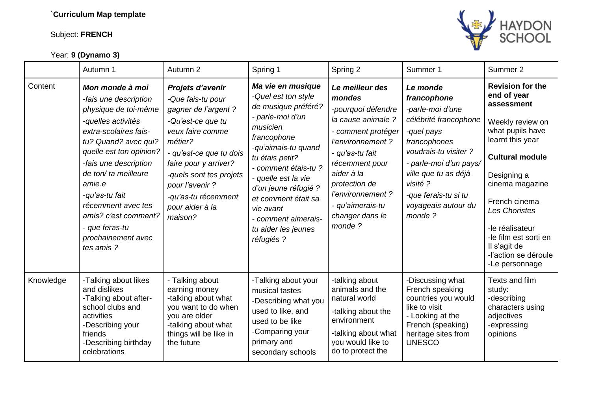## Subject: **FRENCH**

Year: **9 (Dynamo 3)**



|           | Autumn 1                                                                                                                                                                                                                                                                                                                                           | Autumn 2                                                                                                                                                                                                                                                                 | Spring 1                                                                                                                                                                                                                                                                                                                        | Spring 2                                                                                                                                                                                                                                                   | Summer 1                                                                                                                                                                                                                                          | Summer 2                                                                                                                                                                                                                                                                                                             |
|-----------|----------------------------------------------------------------------------------------------------------------------------------------------------------------------------------------------------------------------------------------------------------------------------------------------------------------------------------------------------|--------------------------------------------------------------------------------------------------------------------------------------------------------------------------------------------------------------------------------------------------------------------------|---------------------------------------------------------------------------------------------------------------------------------------------------------------------------------------------------------------------------------------------------------------------------------------------------------------------------------|------------------------------------------------------------------------------------------------------------------------------------------------------------------------------------------------------------------------------------------------------------|---------------------------------------------------------------------------------------------------------------------------------------------------------------------------------------------------------------------------------------------------|----------------------------------------------------------------------------------------------------------------------------------------------------------------------------------------------------------------------------------------------------------------------------------------------------------------------|
| Content   | Mon monde à moi<br>-fais une description<br>physique de toi-même<br>-quelles activités<br>extra-scolaires fais-<br>tu? Quand? avec qui?<br>quelle est ton opinion?<br>-fais une description<br>de ton/ ta meilleure<br>amie.e<br>-qu'as-tu fait<br>récemment avec tes<br>amis? c'est comment?<br>- que feras-tu<br>prochainement avec<br>tes amis? | Projets d'avenir<br>-Que fais-tu pour<br>gagner de l'argent ?<br>-Qu'est-ce que tu<br>veux faire comme<br>métier?<br>- qu'est-ce que tu dois<br>faire pour y arriver?<br>-quels sont tes projets<br>pour l'avenir ?<br>-qu'as-tu récemment<br>pour aider à la<br>maison? | Ma vie en musique<br>-Quel est ton style<br>de musique préféré?<br>- parle-moi d'un<br>musicien<br>francophone<br>-qu'aimais-tu quand<br>tu étais petit?<br>- comment étais-tu ?<br>- quelle est la vie<br>d'un jeune réfugié ?<br>et comment était sa<br>vie avant<br>- comment aimerais-<br>tu aider les jeunes<br>réfugiés ? | Le meilleur des<br>mondes<br>-pourquoi défendre<br>la cause animale ?<br>- comment protéger<br>l'environnement ?<br>- qu'as-tu fait<br>récemment pour<br>aider à la<br>protection de<br>l'environnement ?<br>- qu'aimerais-tu<br>changer dans le<br>monde? | Le monde<br>francophone<br>-parle-moi d'une<br>célébrité francophone<br>-quel pays<br>francophones<br>voudrais-tu visiter?<br>- parle-moi d'un pays/<br>ville que tu as déjà<br>visité ?<br>-que ferais-tu si tu<br>voyageais autour du<br>monde? | <b>Revision for the</b><br>end of year<br>assessment<br>Weekly review on<br>what pupils have<br>learnt this year<br><b>Cultural module</b><br>Designing a<br>cinema magazine<br>French cinema<br>Les Choristes<br>-le réalisateur<br>-le film est sorti en<br>Il s'agit de<br>-l'action se déroule<br>-Le personnage |
| Knowledge | -Talking about likes<br>and dislikes<br>-Talking about after-<br>school clubs and<br>activities<br>-Describing your<br>friends<br>-Describing birthday<br>celebrations                                                                                                                                                                             | - Talking about<br>earning money<br>-talking about what<br>you want to do when<br>you are older<br>-talking about what<br>things will be like in<br>the future                                                                                                           | -Talking about your<br>musical tastes<br>-Describing what you<br>used to like, and<br>used to be like<br>-Comparing your<br>primary and<br>secondary schools                                                                                                                                                                    | -talking about<br>animals and the<br>natural world<br>-talking about the<br>environment<br>-talking about what<br>you would like to<br>do to protect the                                                                                                   | -Discussing what<br>French speaking<br>countries you would<br>like to visit<br>- Looking at the<br>French (speaking)<br>heritage sites from<br><b>UNESCO</b>                                                                                      | Texts and film<br>study:<br>-describing<br>characters using<br>adjectives<br>-expressing<br>opinions                                                                                                                                                                                                                 |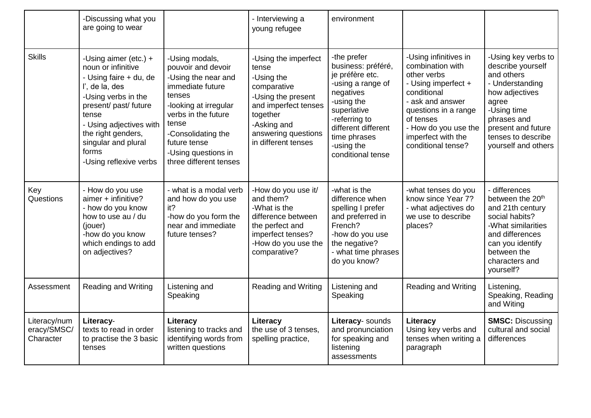|                                          | -Discussing what you<br>are going to wear                                                                                                                                                                                                                     |                                                                                                                                                                                                                                           | - Interviewing a<br>young refugee                                                                                                                                                 | environment                                                                                                                                                                                                    |                                                                                                                                                                                                                             |                                                                                                                                                                                                       |
|------------------------------------------|---------------------------------------------------------------------------------------------------------------------------------------------------------------------------------------------------------------------------------------------------------------|-------------------------------------------------------------------------------------------------------------------------------------------------------------------------------------------------------------------------------------------|-----------------------------------------------------------------------------------------------------------------------------------------------------------------------------------|----------------------------------------------------------------------------------------------------------------------------------------------------------------------------------------------------------------|-----------------------------------------------------------------------------------------------------------------------------------------------------------------------------------------------------------------------------|-------------------------------------------------------------------------------------------------------------------------------------------------------------------------------------------------------|
| <b>Skills</b>                            | -Using aimer (etc.) $+$<br>noun or infinitive<br>- Using faire + du, de<br>l', de la, des<br>-Using verbs in the<br>present/ past/ future<br>tense<br>- Using adjectives with<br>the right genders,<br>singular and plural<br>forms<br>-Using reflexive verbs | -Using modals,<br>pouvoir and devoir<br>-Using the near and<br>immediate future<br>tenses<br>-looking at irregular<br>verbs in the future<br>tense<br>-Consolidating the<br>future tense<br>-Using questions in<br>three different tenses | -Using the imperfect<br>tense<br>-Using the<br>comparative<br>-Using the present<br>and imperfect tenses<br>together<br>-Asking and<br>answering questions<br>in different tenses | -the prefer<br>business: préféré,<br>je préfère etc.<br>-using a range of<br>negatives<br>-using the<br>superlative<br>-referring to<br>different different<br>time phrases<br>-using the<br>conditional tense | -Using infinitives in<br>combination with<br>other verbs<br>- Using imperfect +<br>conditional<br>- ask and answer<br>questions in a range<br>of tenses<br>- How do you use the<br>imperfect with the<br>conditional tense? | -Using key verbs to<br>describe yourself<br>and others<br>- Understanding<br>how adjectives<br>agree<br>-Using time<br>phrases and<br>present and future<br>tenses to describe<br>yourself and others |
| Key<br>Questions                         | - How do you use<br>aimer + infinitive?<br>- how do you know<br>how to use au / du<br>(jouer)<br>-how do you know<br>which endings to add<br>on adjectives?                                                                                                   | - what is a modal verb<br>and how do you use<br>it?<br>-how do you form the<br>near and immediate<br>future tenses?                                                                                                                       | -How do you use it/<br>and them?<br>-What is the<br>difference between<br>the perfect and<br>imperfect tenses?<br>-How do you use the<br>comparative?                             | -what is the<br>difference when<br>spelling I prefer<br>and preferred in<br>French?<br>-how do you use<br>the negative?<br>- what time phrases<br>do you know?                                                 | -what tenses do you<br>know since Year 7?<br>- what adjectives do<br>we use to describe<br>places?                                                                                                                          | - differences<br>between the 20 <sup>th</sup><br>and 21th century<br>social habits?<br>-What similarities<br>and differences<br>can you identify<br>between the<br>characters and<br>yourself?        |
| Assessment                               | <b>Reading and Writing</b>                                                                                                                                                                                                                                    | Listening and<br>Speaking                                                                                                                                                                                                                 | <b>Reading and Writing</b>                                                                                                                                                        | Listening and<br>Speaking                                                                                                                                                                                      | <b>Reading and Writing</b>                                                                                                                                                                                                  | Listening,<br>Speaking, Reading<br>and Witing                                                                                                                                                         |
| Literacy/num<br>eracy/SMSC/<br>Character | Literacy-<br>texts to read in order<br>to practise the 3 basic<br>tenses                                                                                                                                                                                      | Literacy<br>listening to tracks and<br>identifying words from<br>written questions                                                                                                                                                        | Literacy<br>the use of 3 tenses.<br>spelling practice,                                                                                                                            | Literacy- sounds<br>and pronunciation<br>for speaking and<br>listening<br>assessments                                                                                                                          | Literacy<br>Using key verbs and<br>tenses when writing a<br>paragraph                                                                                                                                                       | <b>SMSC: Discussing</b><br>cultural and social<br>differences                                                                                                                                         |